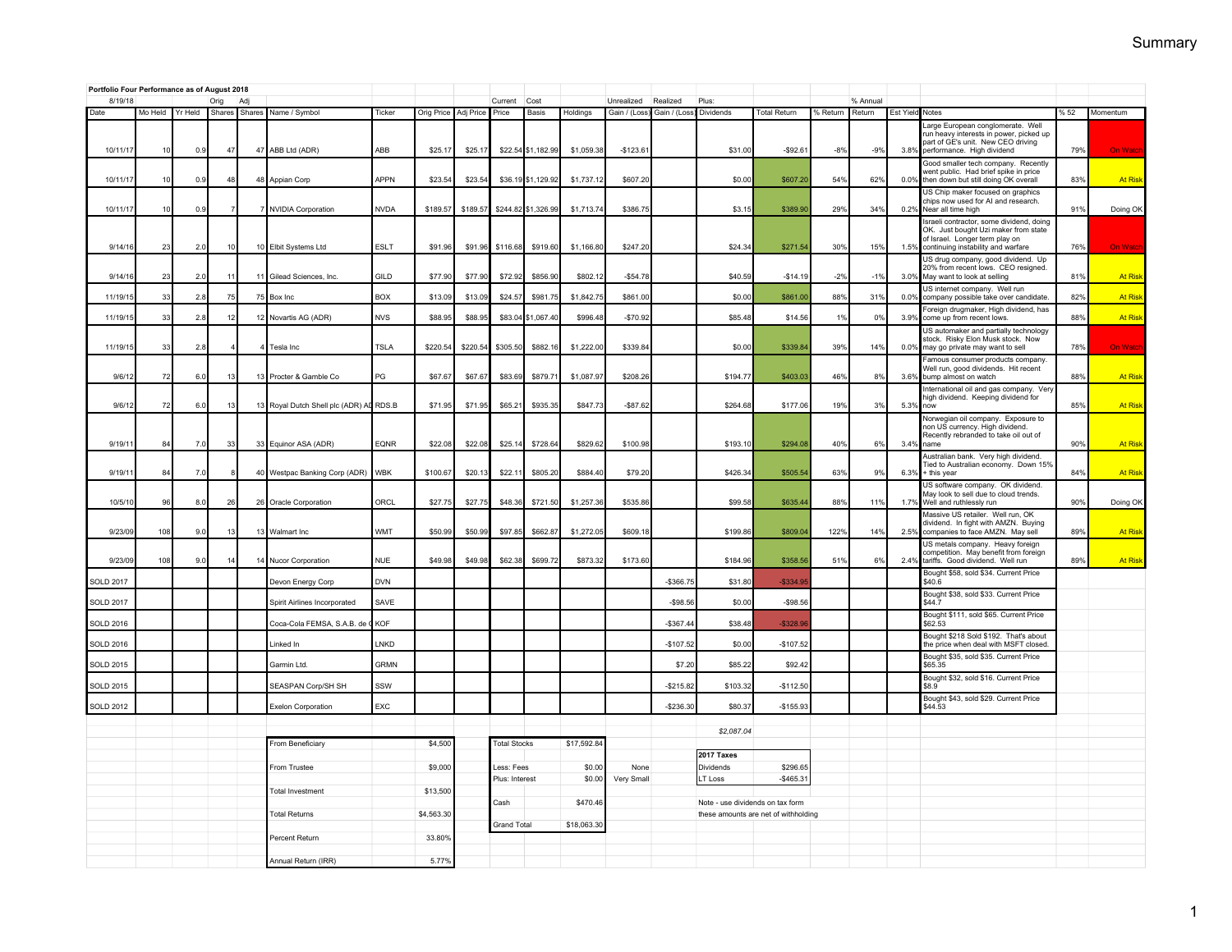|                  | Portfolio Four Performance as of August 2018 |     |                |               |                                         |             |                      |          |                     |                      |                 |                            |                           |                                  |                                      |          |                    |                 |                                                                                                                                                          |     |                |
|------------------|----------------------------------------------|-----|----------------|---------------|-----------------------------------------|-------------|----------------------|----------|---------------------|----------------------|-----------------|----------------------------|---------------------------|----------------------------------|--------------------------------------|----------|--------------------|-----------------|----------------------------------------------------------------------------------------------------------------------------------------------------------|-----|----------------|
| 8/19/18<br>Date  | Mo Held Yr Held                              |     | Orig<br>Shares | Adj<br>Shares | Name / Symbol                           | Ticker      | Orig Price Adj Price |          | Current<br>Price    | Cost<br><b>Basis</b> | <b>Holdings</b> | Unrealized<br>Gain / (Loss | Realized<br>Gain / (Loss) | Plus:<br>Dividends               | <b>Total Return</b>                  | % Return | % Annual<br>Return | Est Yield Notes |                                                                                                                                                          | %52 | Momentum       |
| 10/11/17         | 10                                           | 0.9 | 47             |               | 47 ABB Ltd (ADR)                        | ABB         | \$25.1               | \$25.17  |                     | \$22.54 \$1,182.99   | \$1,059.38      | $-$123.6$                  |                           | \$31.00                          | $-$92.61$                            | $-8%$    | $-9o$              | 3.8%            | Large European conglomerate. Well<br>run heavy interests in power, picked up<br>part of GE's unit. New CEO driving<br>performance. High dividend         | 79% | <b>On Watc</b> |
| 10/11/17         | 10                                           | 0.9 | 48             |               | 48 Appian Corp                          | <b>APPN</b> | \$23.54              | \$23.5   |                     | \$36.19 \$1,129.92   | \$1,737.1       | \$607.20                   |                           | \$0.00                           | \$607.20                             | 54%      | 62%                | 0.0%            | Good smaller tech company. Recently<br>went public. Had brief spike in price<br>then down but still doing OK overall                                     | 83% | <b>At Rist</b> |
| 10/11/17         | 10                                           | 0.9 |                |               | 7 NVIDIA Corporation                    | <b>NVDA</b> | \$189.57             | \$189.57 |                     | \$244.82 \$1,326.99  | \$1,713.74      | \$386.75                   |                           | \$3.15                           | \$389.90                             | 29%      | 34%                | 0.2%            | US Chip maker focused on graphics<br>chips now used for AI and research.<br>Near all time high                                                           | 919 | Doing OK       |
| 9/14/16          | 23                                           | 2.0 | 10             |               | 10 Elbit Systems Ltd                    | <b>ESLT</b> | \$91.96              | \$91.96  | \$116.68            | \$919.60             | \$1,166.80      | \$247.20                   |                           | \$24.34                          | \$271.54                             | 30%      | 15%                | 1.5%            | Israeli contractor, some dividend, doing<br>OK. Just bought Uzi maker from state<br>of Israel. Longer term play on<br>continuing instability and warfare | 76% | On Watc        |
| 9/14/1           | 23                                           | 2.0 | 11             |               | 11 Gilead Sciences, Inc.                | GILD        | \$77.90              | \$77.90  | \$72.92             | \$856.90             | \$802.1         | $-$54.78$                  |                           | \$40.59                          | $-$14.19$                            | $-2%$    | $-1%$              | 3.0%            | US drug company, good dividend. Up<br>20% from recent lows. CEO resigned.<br>May want to look at selling                                                 | 819 | <b>At Rist</b> |
| 11/19/1          | 33                                           | 2.8 | 75             |               | 75 Box Inc                              | <b>BOX</b>  | \$13.09              | \$13.09  | \$24.5              | \$981.7              | \$1,842.7       | \$861.00                   |                           | \$0.00                           | \$861.00                             | 88%      | 319                | 0.0%            | US internet company. Well run<br>company possible take over candidate.                                                                                   | 829 | <b>At Rist</b> |
| 11/19/1          | 33                                           | 2.8 | 12             |               | 12 Novartis AG (ADR)                    | <b>NVS</b>  | \$88.95              | \$88.9   |                     | \$83.04 \$1,067.4    | \$996.4         | $-$70.92$                  |                           | \$85.48                          | \$14.56                              | 1%       | 0%                 | 3.9%            | Foreign drugmaker, High dividend, has<br>come up from recent lows.                                                                                       | 889 | <b>At Rist</b> |
| 11/19/15         | 33                                           | 2.8 |                |               | 4 Tesla Inc                             | <b>TSLA</b> | \$220.54             | \$220.54 | \$305.50            | \$882.16             | \$1,222.00      | \$339.84                   |                           | \$0.00                           | \$339.8                              | 39%      | 14%                | 0.0%            | US automaker and partially technology<br>stock. Risky Elon Musk stock. Now<br>may go private may want to sell                                            | 78% | On Wate        |
| 9/6/1            | 72                                           | 6.0 | -13            |               | 13 Procter & Gamble Co                  | PG          | \$67.67              | \$67.67  | \$83.69             | \$879.71             | \$1,087.97      | \$208.26                   |                           | \$194.77                         | \$403.0                              | 46%      | 8%                 | 3.6%            | Famous consumer products company<br>Well run, good dividends. Hit recent<br>bump almost on watch                                                         | 88% | <b>At Rist</b> |
| 9/6/12           | 72                                           | 6.0 | 13             |               | 13 Royal Dutch Shell plc (ADR) AL RDS.B |             | \$71.95              | \$71.95  | \$65.21             | \$935.35             | \$847.73        | $-$87.62$                  |                           | \$264.68                         | \$177.06                             | 19%      | 3%                 | 5.3%            | International oil and gas company. Very<br>high dividend. Keeping dividend for<br>now                                                                    | 85% | <b>At Risk</b> |
| 9/19/1           | 84                                           | 7.0 | 33             |               | 33 Equinor ASA (ADR)                    | EQNR        | \$22.08              | \$22.08  | \$25.14             | \$728.64             | \$829.62        | \$100.98                   |                           | \$193.10                         | \$294.0                              | 40%      | 6%                 | 3.4%            | Norwegian oil company. Exposure to<br>non US currency. High dividend.<br>Recently rebranded to take oil out of<br>name                                   | 90% | <b>At Ris</b>  |
| 9/19/1           | 84                                           | 7.0 |                |               | 40 Westpac Banking Corp (ADR)           | WBK         | \$100.67             | \$20.13  | \$22.11             | \$805.20             | \$884.40        | \$79.20                    |                           | \$426.34                         | \$505.5                              | 63%      | 99                 | 6.3%            | Australian bank. Very high dividend.<br>Tied to Australian economy. Down 15%<br>+ this year                                                              | 84% | <b>At Rist</b> |
| 10/5/10          | 96                                           | 8.0 | 26             |               | 26 Oracle Corporation                   | ORCI        | \$27.75              | \$27.75  | \$48.36             | \$721.50             | \$1,257.36      | \$535.86                   |                           | \$99.58                          | \$635.4                              | 88%      | 11%                | 1.7%            | US software company. OK dividend.<br>May look to sell due to cloud trends.<br>Well and ruthlessly run                                                    | 90% | Doing OK       |
| 9/23/09          | 108                                          | 9.0 | -13            |               | 13 Walmart Inc                          | WMT         | \$50.99              | \$50.99  | \$97.85             | \$662.87             | \$1,272.05      | \$609.18                   |                           | \$199.86                         | \$809.04                             | 122%     | 14%                | 2.5%            | Massive US retailer. Well run, OK<br>dividend. In fight with AMZN. Buying<br>companies to face AMZN. May sell                                            | 89% | <b>At Risl</b> |
| 9/23/0           | 108                                          | 9(  | 14             |               | 14 Nucor Corporation                    | <b>NUE</b>  | \$49.98              | \$49.98  | \$62.38             | \$699.7              | \$873.32        | \$173.60                   |                           | \$184.96                         | \$358.5                              | 519      | 6%                 | 2.4%            | US metals company. Heavy foreign<br>competition. May benefit from foreign<br>tariffs. Good dividend. Well run                                            | 89% | <b>At Risl</b> |
| <b>SOLD 2017</b> |                                              |     |                |               | Devon Energy Corp                       | <b>DVN</b>  |                      |          |                     |                      |                 |                            | $-$ \$366.75              | \$31.80                          | $-$334.9$                            |          |                    |                 | Bought \$58, sold \$34. Current Price<br>\$40.6                                                                                                          |     |                |
| <b>SOLD 2017</b> |                                              |     |                |               | Spirit Airlines Incorporated            | SAVE        |                      |          |                     |                      |                 |                            | $-$ \$98.56               | \$0.00                           | $-$98.56$                            |          |                    |                 | Bought \$38, sold \$33. Current Price<br>\$44.7                                                                                                          |     |                |
| <b>SOLD 2016</b> |                                              |     |                |               | Coca-Cola FEMSA, S.A.B. de 0            | <b>KOF</b>  |                      |          |                     |                      |                 |                            | $-$367.44$                | \$38.48                          | $-$ \$328.9                          |          |                    |                 | Bought \$111, sold \$65. Current Price<br>\$62.53<br>Bought \$218 Sold \$192. That's about                                                               |     |                |
| <b>SOLD 2016</b> |                                              |     |                |               | I inked In                              | I NKD       |                      |          |                     |                      |                 |                            | $-$107.52$                | \$0.00                           | $-$107.52$                           |          |                    |                 | the price when deal with MSFT closed.                                                                                                                    |     |                |
| <b>SOLD 2015</b> |                                              |     |                |               | Garmin I td.                            | GRMN        |                      |          |                     |                      |                 |                            | \$7.20                    | \$85.22                          | \$92.4                               |          |                    |                 | Bought \$35, sold \$35. Current Price<br>\$65.35                                                                                                         |     |                |
| <b>SOLD 2015</b> |                                              |     |                |               | SEASPAN Corp/SH SH                      | SSW         |                      |          |                     |                      |                 |                            | $-$ \$215.82              | \$103.32                         | $-$112.50$                           |          |                    |                 | Bought \$32, sold \$16. Current Price<br>\$8.9<br>Bought \$43, sold \$29. Current Price                                                                  |     |                |
| <b>SOLD 2012</b> |                                              |     |                |               | Exelon Corporation                      | EXC         |                      |          |                     |                      |                 |                            | $-$236.30$                | \$80.37                          | $-$155.93$                           |          |                    |                 | \$44.53                                                                                                                                                  |     |                |
|                  |                                              |     |                |               |                                         |             |                      |          |                     |                      |                 |                            |                           | \$2,087.04                       |                                      |          |                    |                 |                                                                                                                                                          |     |                |
|                  |                                              |     |                |               | From Beneficiary                        |             | \$4,500              |          | <b>Total Stocks</b> |                      | \$17,592.84     |                            |                           |                                  |                                      |          |                    |                 |                                                                                                                                                          |     |                |
|                  |                                              |     |                |               | From Trustee                            |             | \$9,000              |          | Less: Fees          |                      | \$0.00          | None                       |                           | <b>2017 Taxes</b><br>Dividends   | \$296.65                             |          |                    |                 |                                                                                                                                                          |     |                |
|                  |                                              |     |                |               |                                         |             |                      |          | Plus: Interest      |                      | \$0.00          | Very Small                 |                           | LT Loss                          | $-$ \$465.31                         |          |                    |                 |                                                                                                                                                          |     |                |
|                  |                                              |     |                |               | Total Investment                        |             | \$13,500             |          |                     |                      |                 |                            |                           |                                  |                                      |          |                    |                 |                                                                                                                                                          |     |                |
|                  |                                              |     |                |               | <b>Total Returns</b>                    |             | \$4,563.30           |          | Cash                |                      | \$470.46        |                            |                           | Note - use dividends on tax form | these amounts are net of withholding |          |                    |                 |                                                                                                                                                          |     |                |
|                  |                                              |     |                |               |                                         |             |                      |          | <b>Grand Total</b>  |                      | \$18,063.30     |                            |                           |                                  |                                      |          |                    |                 |                                                                                                                                                          |     |                |
|                  |                                              |     |                |               | Percent Return                          |             | 33.80%               |          |                     |                      |                 |                            |                           |                                  |                                      |          |                    |                 |                                                                                                                                                          |     |                |
|                  |                                              |     |                |               | Annual Return (IRR)                     |             | 5.77%                |          |                     |                      |                 |                            |                           |                                  |                                      |          |                    |                 |                                                                                                                                                          |     |                |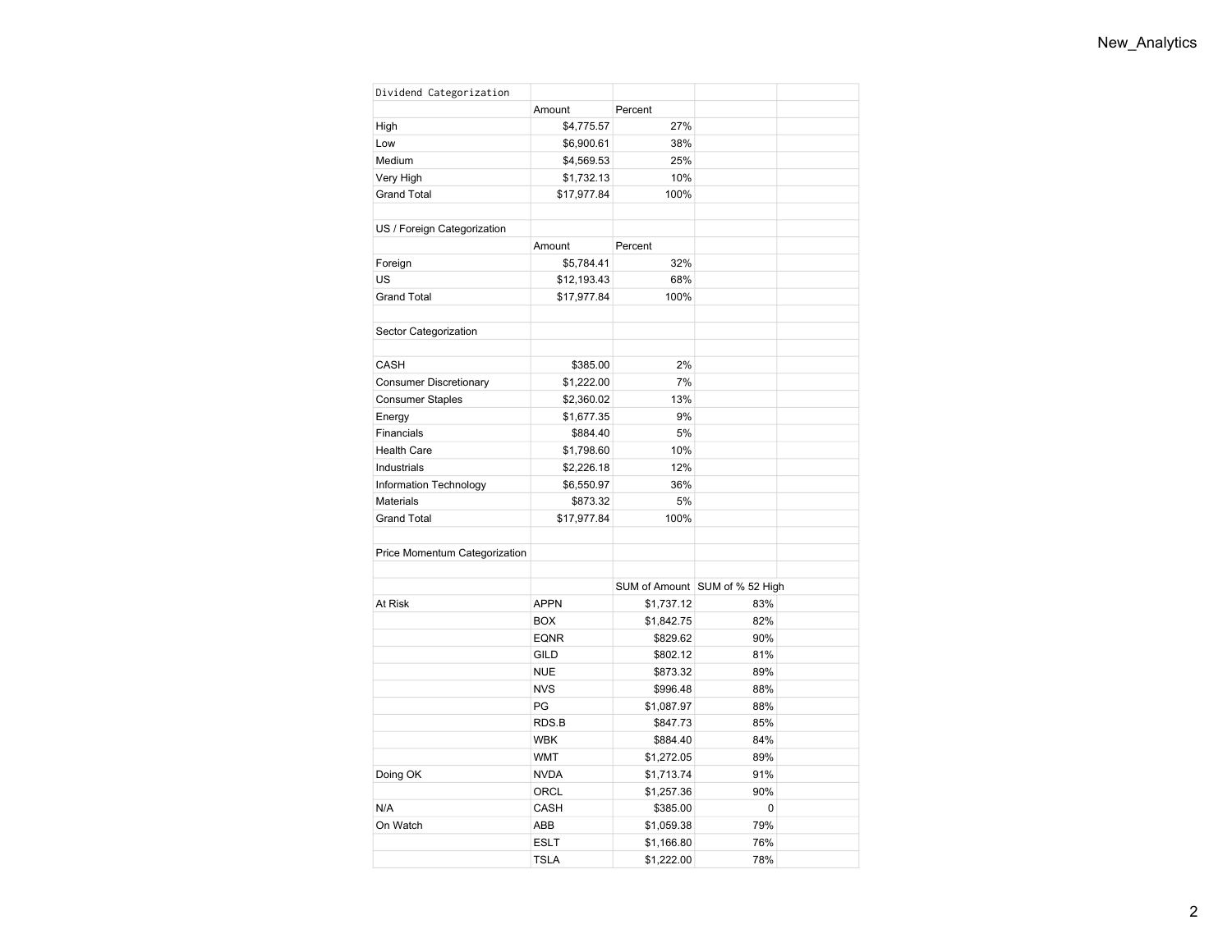| Dividend Categorization       |             |            |                                |  |
|-------------------------------|-------------|------------|--------------------------------|--|
|                               | Amount      | Percent    |                                |  |
| High                          | \$4,775.57  | 27%        |                                |  |
| Low                           | \$6,900.61  | 38%        |                                |  |
| Medium                        | \$4,569.53  | 25%        |                                |  |
| Very High                     | \$1,732.13  | 10%        |                                |  |
| <b>Grand Total</b>            | \$17,977.84 | 100%       |                                |  |
|                               |             |            |                                |  |
| US / Foreign Categorization   |             |            |                                |  |
|                               | Amount      | Percent    |                                |  |
| Foreign                       | \$5,784.41  | 32%        |                                |  |
| <b>US</b>                     | \$12,193.43 | 68%        |                                |  |
| <b>Grand Total</b>            | \$17,977.84 | 100%       |                                |  |
|                               |             |            |                                |  |
| Sector Categorization         |             |            |                                |  |
|                               |             |            |                                |  |
| CASH                          | \$385.00    | 2%         |                                |  |
| Consumer Discretionary        | \$1,222.00  | 7%         |                                |  |
| <b>Consumer Staples</b>       | \$2,360.02  | 13%        |                                |  |
| Energy                        | \$1,677.35  | 9%         |                                |  |
| Financials                    | \$884.40    | 5%         |                                |  |
| <b>Health Care</b>            | \$1,798.60  | 10%        |                                |  |
| Industrials                   | \$2,226.18  | 12%        |                                |  |
| Information Technology        | \$6,550.97  | 36%        |                                |  |
| <b>Materials</b>              | \$873.32    | 5%         |                                |  |
| <b>Grand Total</b>            | \$17,977.84 | 100%       |                                |  |
|                               |             |            |                                |  |
| Price Momentum Categorization |             |            |                                |  |
|                               |             |            |                                |  |
|                               |             |            | SUM of Amount SUM of % 52 High |  |
| At Risk                       | <b>APPN</b> | \$1,737.12 | 83%                            |  |
|                               | <b>BOX</b>  | \$1,842.75 | 82%                            |  |
|                               | <b>EQNR</b> | \$829.62   | 90%                            |  |
|                               | <b>GILD</b> | \$802.12   | 81%                            |  |
|                               | <b>NUE</b>  | \$873.32   | 89%                            |  |
|                               | <b>NVS</b>  | \$996.48   | 88%                            |  |
|                               | PG          | \$1,087.97 | 88%                            |  |
|                               | RDS.B       | \$847.73   | 85%                            |  |
|                               | <b>WBK</b>  | \$884.40   | 84%                            |  |
|                               | <b>WMT</b>  | \$1,272.05 | 89%                            |  |
| Doing OK                      | <b>NVDA</b> | \$1,713.74 | 91%                            |  |
|                               | ORCL        | \$1,257.36 | 90%                            |  |
| N/A                           | CASH        | \$385.00   | 0                              |  |
| On Watch                      | ABB         | \$1,059.38 | 79%                            |  |
|                               | <b>ESLT</b> | \$1,166.80 | 76%                            |  |
|                               | <b>TSLA</b> | \$1,222.00 | 78%                            |  |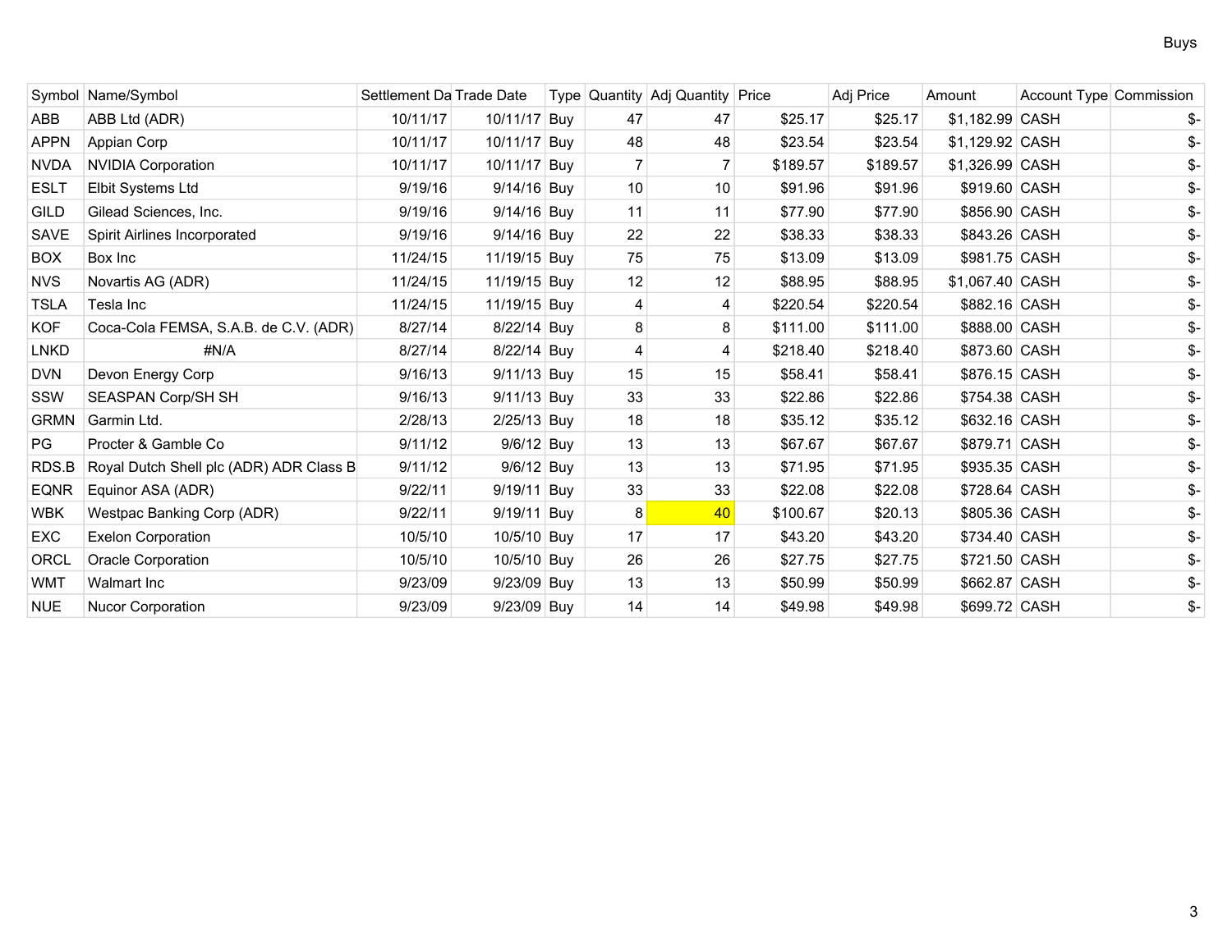|             | Symbol Name/Symbol                      | Settlement Da Trade Date |               |    | Type Quantity Adj Quantity Price |          | Adj Price | Amount          | Account Type Commission |     |
|-------------|-----------------------------------------|--------------------------|---------------|----|----------------------------------|----------|-----------|-----------------|-------------------------|-----|
| <b>ABB</b>  | ABB Ltd (ADR)                           | 10/11/17                 | 10/11/17 Buy  | 47 | 47                               | \$25.17  | \$25.17   | \$1,182.99 CASH |                         |     |
| <b>APPN</b> | Appian Corp                             | 10/11/17                 | 10/11/17 Buy  | 48 | 48                               | \$23.54  | \$23.54   | \$1,129.92 CASH |                         | \$- |
| <b>NVDA</b> | <b>NVIDIA Corporation</b>               | 10/11/17                 | 10/11/17 Buy  |    | 7 <sup>1</sup>                   | \$189.57 | \$189.57  | \$1,326.99 CASH |                         |     |
| <b>ESLT</b> | Elbit Systems Ltd                       | 9/19/16                  | 9/14/16 Buy   | 10 | 10                               | \$91.96  | \$91.96   | \$919.60 CASH   |                         |     |
| GILD        | Gilead Sciences, Inc.                   | 9/19/16                  | 9/14/16 Buy   | 11 | 11                               | \$77.90  | \$77.90   | \$856.90 CASH   |                         | \$- |
| SAVE        | Spirit Airlines Incorporated            | 9/19/16                  | 9/14/16 Buy   | 22 | 22                               | \$38.33  | \$38.33   | \$843.26 CASH   |                         | \$- |
| <b>BOX</b>  | Box Inc                                 | 11/24/15                 | 11/19/15 Buy  | 75 | 75                               | \$13.09  | \$13.09   | \$981.75 CASH   |                         | \$- |
| <b>NVS</b>  | Novartis AG (ADR)                       | 11/24/15                 | 11/19/15 Buy  | 12 | 12                               | \$88.95  | \$88.95   | \$1,067.40 CASH |                         |     |
| <b>TSLA</b> | Tesla Inc                               | 11/24/15                 | 11/19/15 Buy  |    | 4                                | \$220.54 | \$220.54  | \$882.16 CASH   |                         |     |
| <b>KOF</b>  | Coca-Cola FEMSA, S.A.B. de C.V. (ADR)   | 8/27/14                  | 8/22/14 Buy   | 8  | 8                                | \$111.00 | \$111.00  | \$888.00 CASH   |                         | \$- |
| LNKD        | #N/A                                    | 8/27/14                  | 8/22/14 Buy   |    | 4                                | \$218.40 | \$218.40  | \$873.60 CASH   |                         | \$- |
| <b>DVN</b>  | Devon Energy Corp                       | 9/16/13                  | 9/11/13 Buy   | 15 | 15                               | \$58.41  | \$58.41   | \$876.15 CASH   |                         | \$- |
| SSW         | <b>SEASPAN Corp/SH SH</b>               | 9/16/13                  | 9/11/13 Buy   | 33 | 33                               | \$22.86  | \$22.86   | \$754.38 CASH   |                         |     |
| <b>GRMN</b> | Garmin Ltd.                             | 2/28/13                  | $2/25/13$ Buy | 18 | 18                               | \$35.12  | \$35.12   | \$632.16 CASH   |                         | \$- |
| PG          | Procter & Gamble Co                     | 9/11/12                  | 9/6/12 Buy    | 13 | 13                               | \$67.67  | \$67.67   | \$879.71 CASH   |                         | \$- |
| RDS.B       | Royal Dutch Shell plc (ADR) ADR Class B | 9/11/12                  | 9/6/12 Buy    | 13 | 13                               | \$71.95  | \$71.95   | \$935.35 CASH   |                         | \$- |
| <b>EQNR</b> | Equinor ASA (ADR)                       | 9/22/11                  | 9/19/11 Buy   | 33 | 33                               | \$22.08  | \$22.08   | \$728.64 CASH   |                         | \$- |
| <b>WBK</b>  | Westpac Banking Corp (ADR)              | 9/22/11                  | 9/19/11 Buy   | 8  | 40 <sup>°</sup>                  | \$100.67 | \$20.13   | \$805.36 CASH   |                         | \$- |
| EXC         | <b>Exelon Corporation</b>               | 10/5/10                  | 10/5/10 Buy   | 17 | 17                               | \$43.20  | \$43.20   | \$734.40 CASH   |                         | \$- |
| <b>ORCL</b> | Oracle Corporation                      | 10/5/10                  | 10/5/10 Buy   | 26 | 26                               | \$27.75  | \$27.75   | \$721.50 CASH   |                         | \$- |
| <b>WMT</b>  | Walmart Inc                             | 9/23/09                  | 9/23/09 Buy   | 13 | 13                               | \$50.99  | \$50.99   | \$662.87 CASH   |                         |     |
| <b>NUE</b>  | Nucor Corporation                       | 9/23/09                  | 9/23/09 Buy   | 14 | 14                               | \$49.98  | \$49.98   | \$699.72 CASH   |                         | \$- |
|             |                                         |                          |               |    |                                  |          |           |                 |                         |     |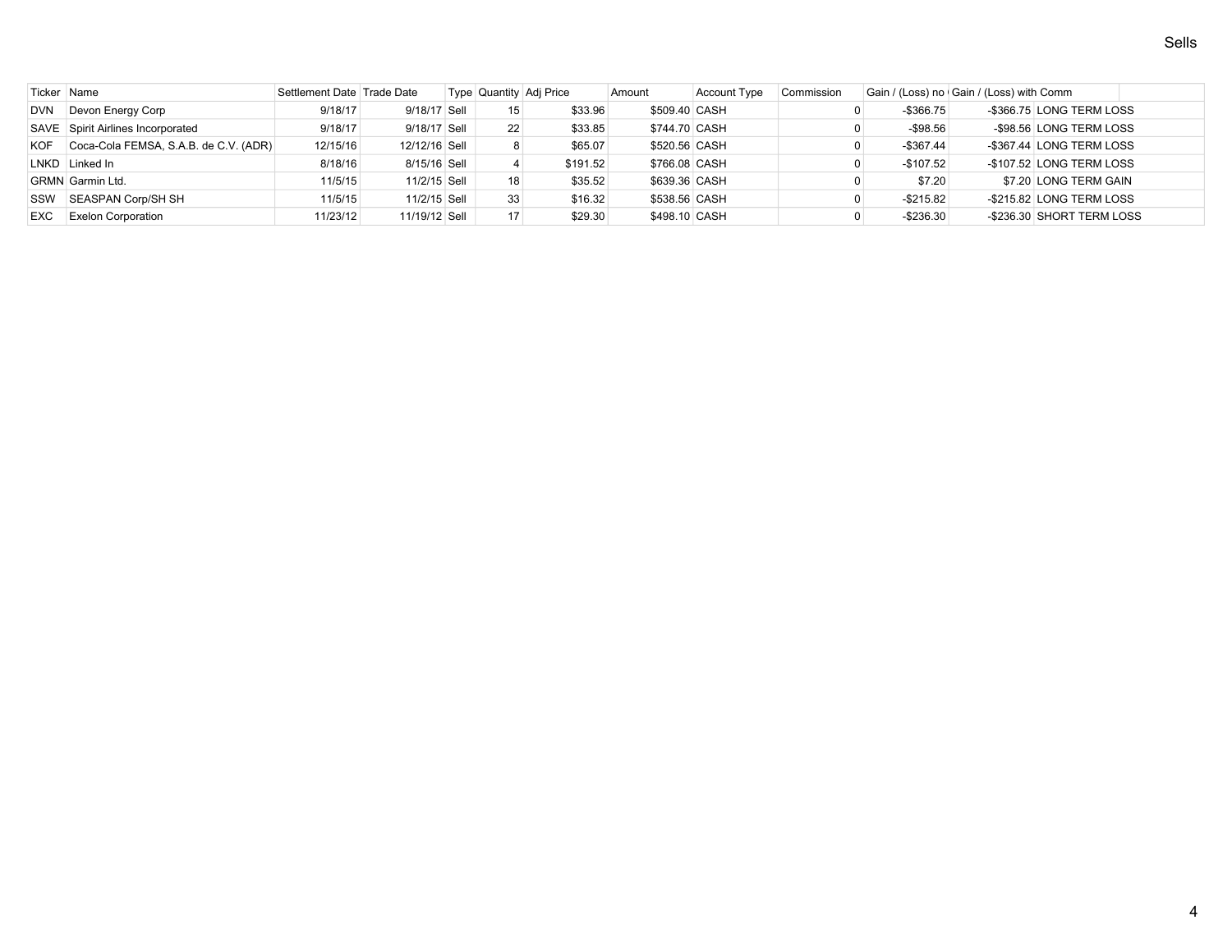| Ticker Name |                                       | Settlement Date Trade Date |               |                   | Type Quantity Adj Price | Amount        | <b>Account Type</b> | Commission |              | Gain / (Loss) no Gain / (Loss) with Comm |                           |  |
|-------------|---------------------------------------|----------------------------|---------------|-------------------|-------------------------|---------------|---------------------|------------|--------------|------------------------------------------|---------------------------|--|
| <b>DVN</b>  | Devon Energy Corp                     | 9/18/17                    | 9/18/17 Sell  | 15                | \$33.96                 | \$509.40 CASH |                     |            | $-$ \$366.75 |                                          | -\$366.75 LONG TERM LOSS  |  |
|             | SAVE Spirit Airlines Incorporated     | 9/18/17                    | 9/18/17 Sell  | $22 \overline{ }$ | \$33.85                 | \$744.70 CASH |                     |            | $-$98.56$    |                                          | -\$98.56 LONG TERM LOSS   |  |
| KOF         | Coca-Cola FEMSA, S.A.B. de C.V. (ADR) | 12/15/16                   | 12/12/16 Sell |                   | \$65.07                 | \$520.56 CASH |                     |            | $-$ \$367.44 |                                          | -\$367.44 LONG TERM LOSS  |  |
|             | LNKD Linked In                        | 8/18/16                    | 8/15/16 Sell  |                   | \$191.52                | \$766.08 CASH |                     |            | $-$107.52$   |                                          | -\$107.52 LONG TERM LOSS  |  |
|             | <b>GRMN</b> Garmin Ltd.               | 11/5/15                    | 11/2/15 Sell  | 18                | \$35.52                 | \$639.36 CASH |                     |            | \$7.20       |                                          | \$7.20 LONG TERM GAIN     |  |
|             | SSW SEASPAN Corp/SH SH                | 11/5/15                    | 11/2/15 Sell  | 33                | \$16.32                 | \$538.56 CASH |                     |            | $-$ \$215.82 |                                          | -\$215.82 LONG TERM LOSS  |  |
| EXC         | <b>Exelon Corporation</b>             | 11/23/12                   | 11/19/12 Sell | 17                | \$29.30                 | \$498.10 CASH |                     |            | $-$ \$236.30 |                                          | -\$236.30 SHORT TERM LOSS |  |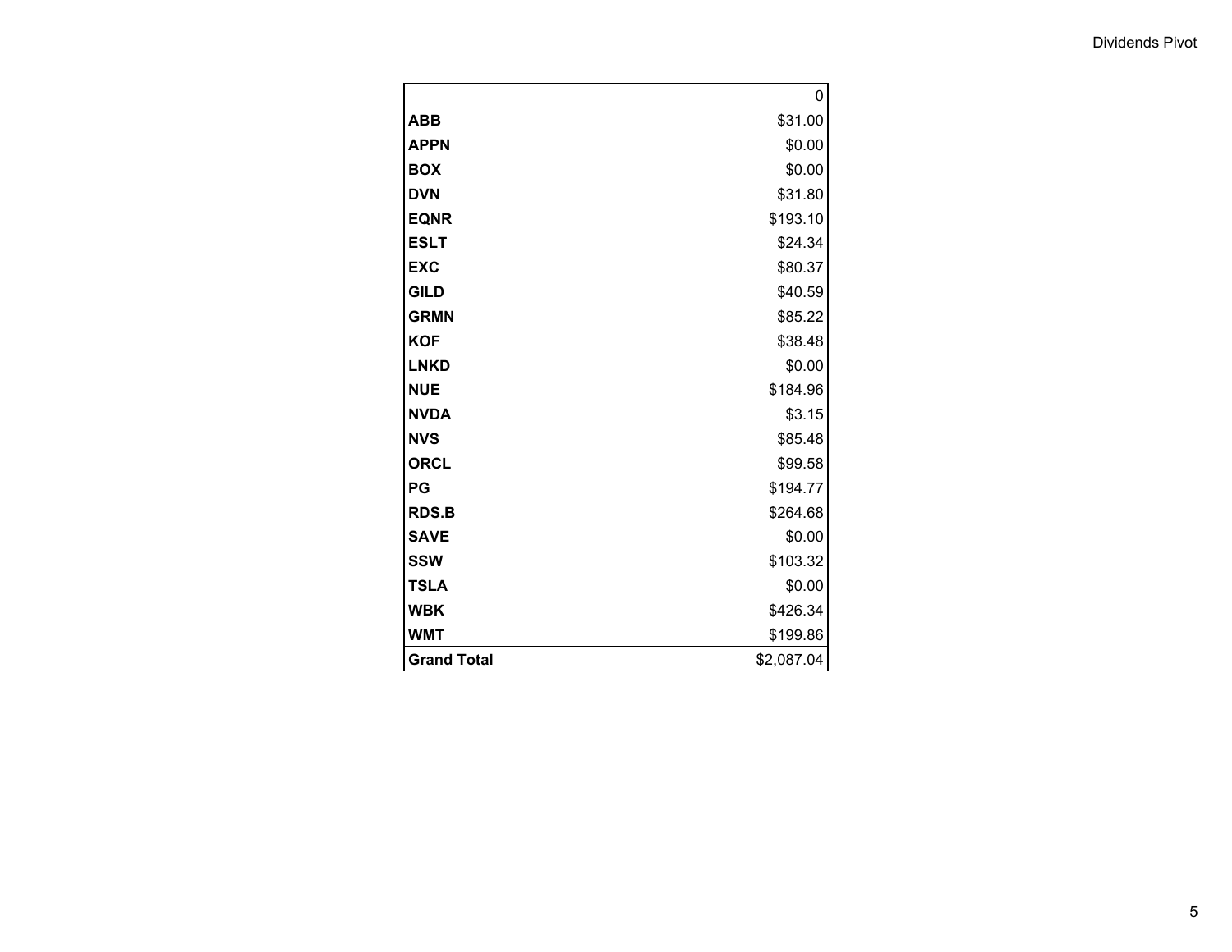|                    | 0          |
|--------------------|------------|
| <b>ABB</b>         | \$31.00    |
| <b>APPN</b>        | \$0.00     |
| <b>BOX</b>         | \$0.00     |
| <b>DVN</b>         | \$31.80    |
| <b>EQNR</b>        | \$193.10   |
| <b>ESLT</b>        | \$24.34    |
| <b>EXC</b>         | \$80.37    |
| <b>GILD</b>        | \$40.59    |
| <b>GRMN</b>        | \$85.22    |
| <b>KOF</b>         | \$38.48    |
| <b>LNKD</b>        | \$0.00     |
| <b>NUE</b>         | \$184.96   |
| <b>NVDA</b>        | \$3.15     |
| <b>NVS</b>         | \$85.48    |
| <b>ORCL</b>        | \$99.58    |
| PG                 | \$194.77   |
| <b>RDS.B</b>       | \$264.68   |
| <b>SAVE</b>        | \$0.00     |
| <b>SSW</b>         | \$103.32   |
| <b>TSLA</b>        | \$0.00     |
| <b>WBK</b>         | \$426.34   |
| <b>WMT</b>         | \$199.86   |
| <b>Grand Total</b> | \$2,087.04 |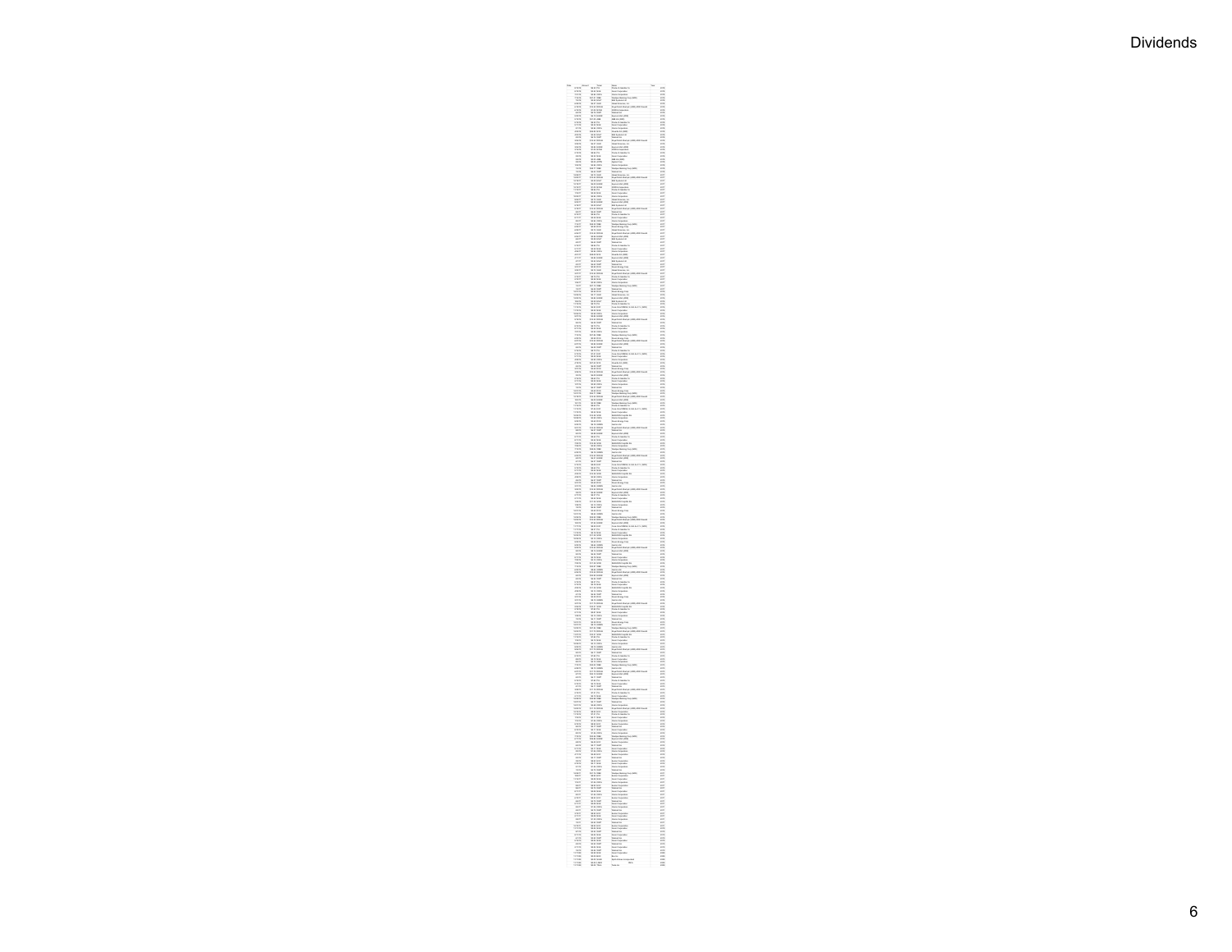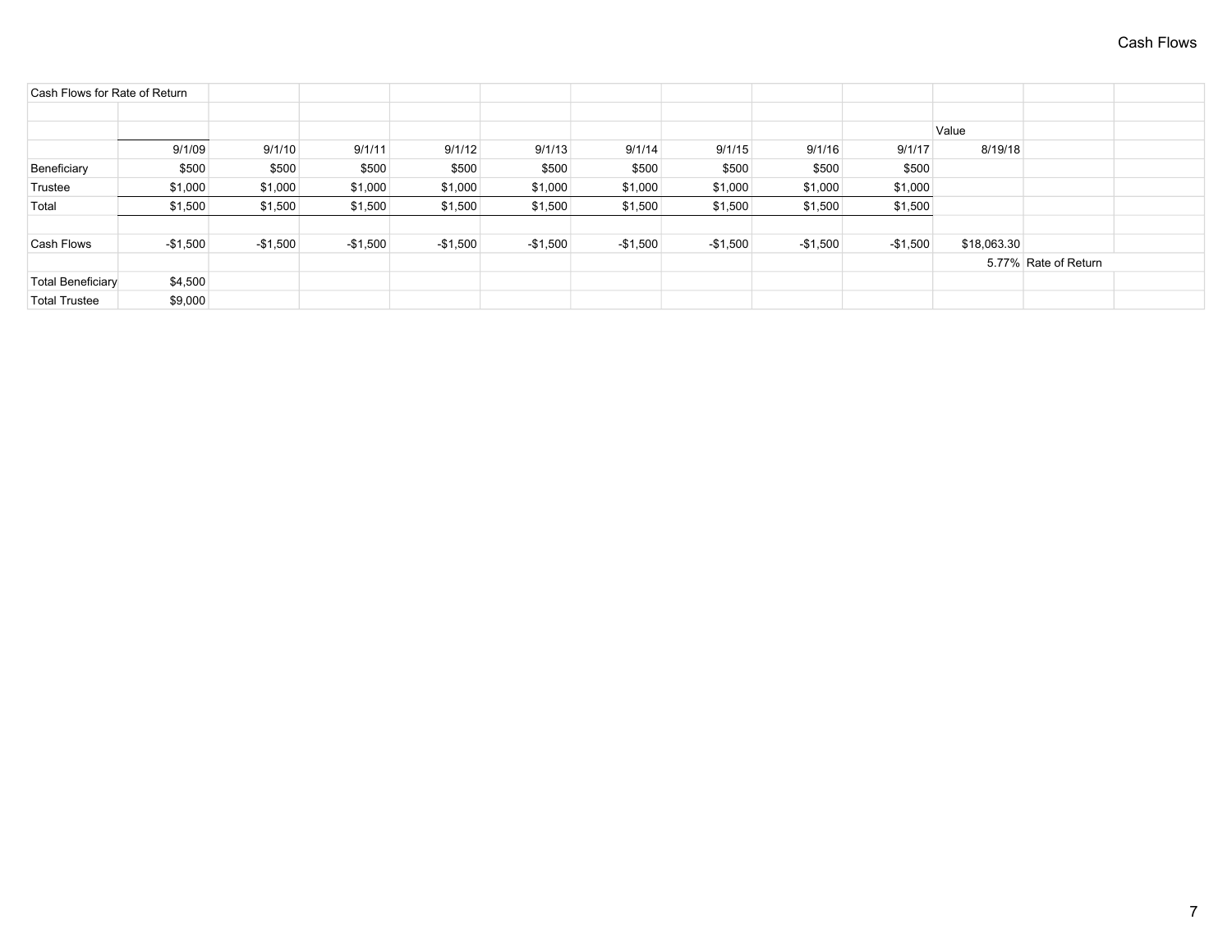| Cash Flows for Rate of Return                                                                                                | 8/19/18              |
|------------------------------------------------------------------------------------------------------------------------------|----------------------|
|                                                                                                                              |                      |
|                                                                                                                              |                      |
| Value                                                                                                                        |                      |
| 9/1/09<br>9/1/10<br>9/1/13<br>9/1/14<br>9/1/15<br>9/1/16<br>9/1/11<br>9/1/12<br>9/1/17                                       |                      |
| Beneficiary<br>\$500<br>\$500<br>\$500<br>\$500<br>\$500<br>\$500<br>\$500<br>\$500<br>\$500                                 |                      |
| Trustee<br>\$1,000<br>\$1,000<br>\$1,000<br>\$1,000<br>\$1,000<br>\$1,000<br>\$1,000<br>\$1,000<br>\$1,000                   |                      |
| Total<br>\$1,500<br>\$1,500<br>\$1,500<br>\$1,500<br>\$1,500<br>\$1,500<br>\$1,500<br>\$1,500<br>\$1,500                     |                      |
|                                                                                                                              |                      |
| $-$1,500$<br>Cash Flows<br>-\$1,500<br>$-$1,500$<br>$-$1,500$<br>-\$1,500<br>$-$1,500$<br>$-$1,500$<br>$-$1,500$<br>-\$1,500 | \$18,063.30          |
|                                                                                                                              | 5.77% Rate of Return |
| <b>Total Beneficiary</b><br>\$4,500                                                                                          |                      |
| \$9,000<br><b>Total Trustee</b>                                                                                              |                      |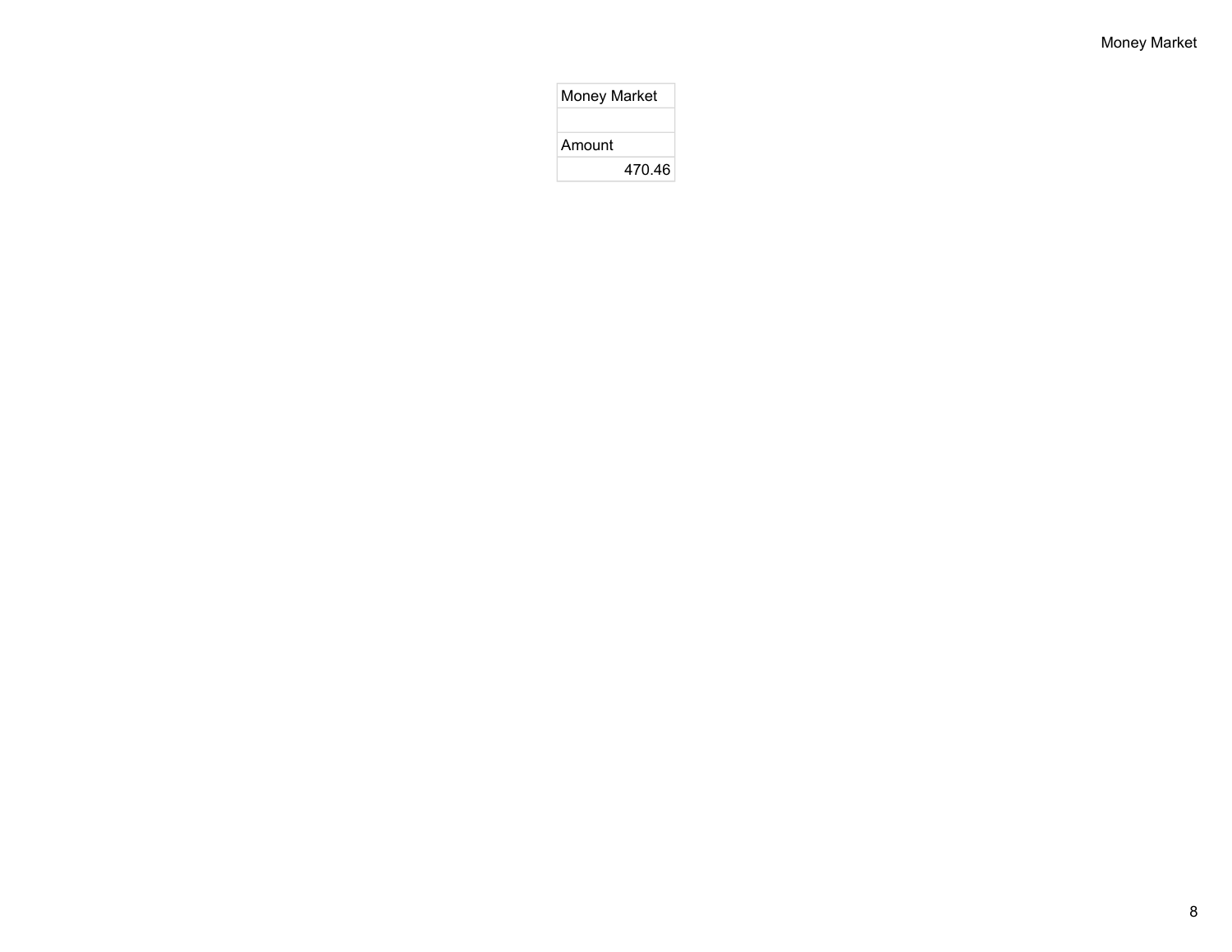| <b>Money Market</b> |        |
|---------------------|--------|
|                     |        |
| Amount              |        |
|                     | 470.46 |